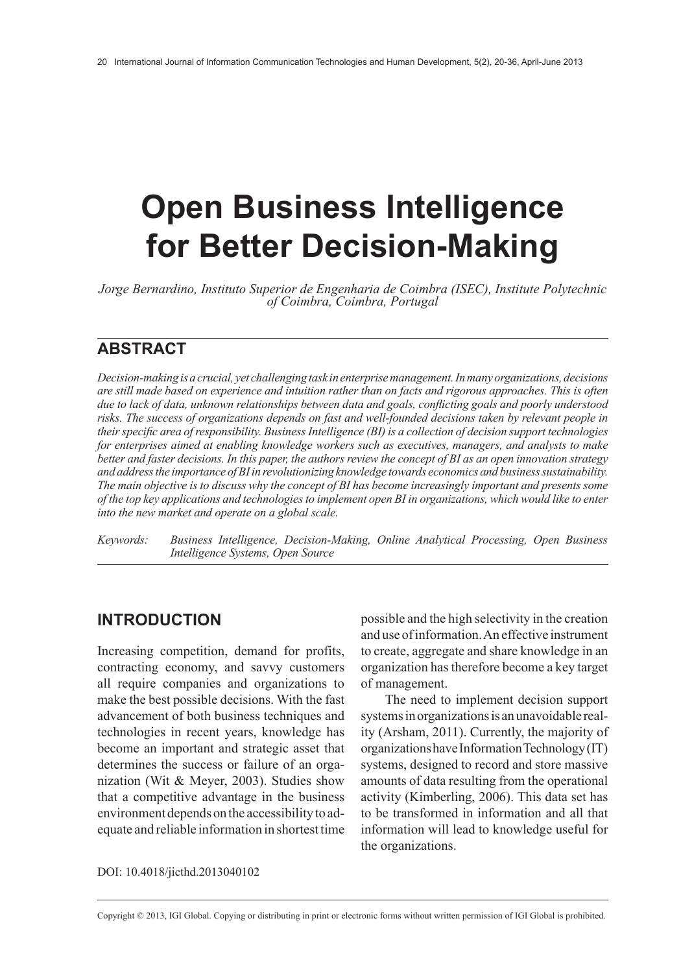# **Open Business Intelligence for Better Decision-Making**

*Jorge Bernardino, Instituto Superior de Engenharia de Coimbra (ISEC), Institute Polytechnic of Coimbra, Coimbra, Portugal*

# **ABSTRACT**

*Decision-making is a crucial, yet challenging task in enterprise management. In many organizations, decisions are still made based on experience and intuition rather than on facts and rigorous approaches. This is often due to lack of data, unknown relationships between data and goals, conflicting goals and poorly understood risks. The success of organizations depends on fast and well-founded decisions taken by relevant people in their specific area of responsibility. Business Intelligence (BI) is a collection of decision support technologies for enterprises aimed at enabling knowledge workers such as executives, managers, and analysts to make better and faster decisions. In this paper, the authors review the concept of BI as an open innovation strategy and address the importance of BI in revolutionizing knowledge towards economics and business sustainability. The main objective is to discuss why the concept of BI has become increasingly important and presents some of the top key applications and technologies to implement open BI in organizations, which would like to enter into the new market and operate on a global scale.*

*Keywords: Business Intelligence, Decision-Making, Online Analytical Processing, Open Business Intelligence Systems, Open Source*

# **INTRODUCTION**

Increasing competition, demand for profits, contracting economy, and savvy customers all require companies and organizations to make the best possible decisions. With the fast advancement of both business techniques and technologies in recent years, knowledge has become an important and strategic asset that determines the success or failure of an organization (Wit & Meyer, 2003). Studies show that a competitive advantage in the business environment depends on the accessibility to adequate and reliable information in shortest time

possible and the high selectivity in the creation and use of information. An effective instrument to create, aggregate and share knowledge in an organization has therefore become a key target of management.

The need to implement decision support systems in organizations is an unavoidable reality (Arsham, 2011). Currently, the majority of organizations have Information Technology (IT) systems, designed to record and store massive amounts of data resulting from the operational activity (Kimberling, 2006). This data set has to be transformed in information and all that information will lead to knowledge useful for the organizations.

DOI: 10.4018/jicthd.2013040102

Copyright © 2013, IGI Global. Copying or distributing in print or electronic forms without written permission of IGI Global is prohibited.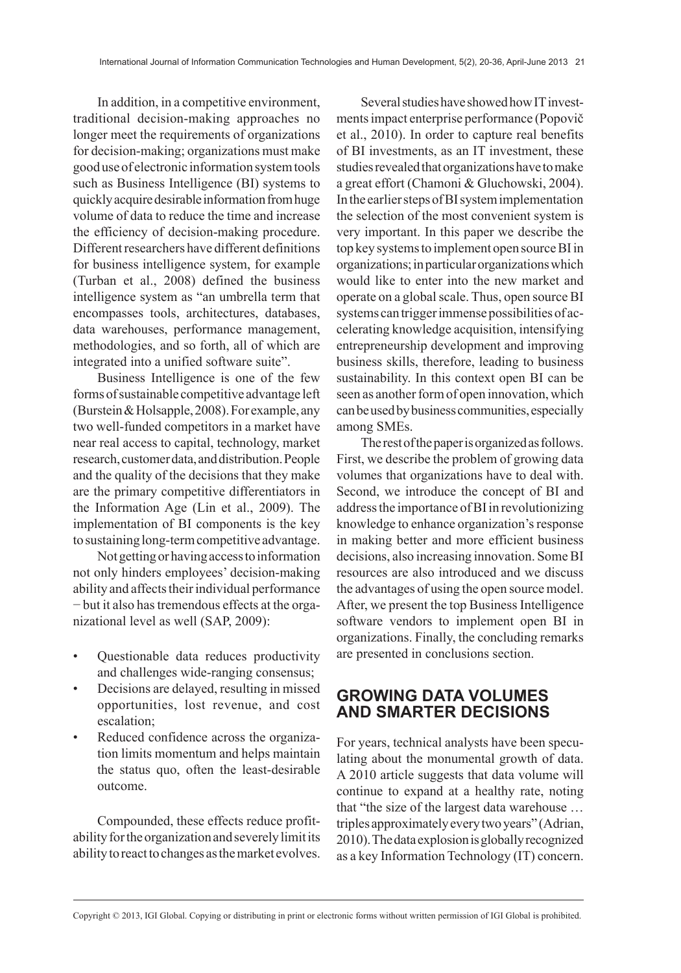In addition, in a competitive environment, traditional decision-making approaches no longer meet the requirements of organizations for decision-making; organizations must make good use of electronic information system tools such as Business Intelligence (BI) systems to quickly acquire desirable information from huge volume of data to reduce the time and increase the efficiency of decision-making procedure. Different researchers have different definitions for business intelligence system, for example (Turban et al., 2008) defined the business intelligence system as "an umbrella term that encompasses tools, architectures, databases, data warehouses, performance management, methodologies, and so forth, all of which are integrated into a unified software suite".

Business Intelligence is one of the few forms of sustainable competitive advantage left (Burstein & Holsapple, 2008). For example, any two well-funded competitors in a market have near real access to capital, technology, market research, customer data, and distribution. People and the quality of the decisions that they make are the primary competitive differentiators in the Information Age (Lin et al., 2009). The implementation of BI components is the key to sustaining long-term competitive advantage.

Not getting or having access to information not only hinders employees' decision-making ability and affects their individual performance − but it also has tremendous effects at the organizational level as well (SAP, 2009):

- Questionable data reduces productivity and challenges wide-ranging consensus;
- Decisions are delayed, resulting in missed opportunities, lost revenue, and cost escalation;
- Reduced confidence across the organization limits momentum and helps maintain the status quo, often the least-desirable outcome.

Compounded, these effects reduce profitability for the organization and severely limit its ability to react to changes as the market evolves.

Several studies have showed how IT investments impact enterprise performance (Popovič et al., 2010). In order to capture real benefits of BI investments, as an IT investment, these studies revealed that organizations have to make a great effort (Chamoni & Gluchowski, 2004). In the earlier steps of BI system implementation the selection of the most convenient system is very important. In this paper we describe the top key systems to implement open source BI in organizations; in particular organizations which would like to enter into the new market and operate on a global scale. Thus, open source BI systems can trigger immense possibilities of accelerating knowledge acquisition, intensifying entrepreneurship development and improving business skills, therefore, leading to business sustainability. In this context open BI can be seen as another form of open innovation, which can be used by business communities, especially among SMEs.

The rest of the paper is organized as follows. First, we describe the problem of growing data volumes that organizations have to deal with. Second, we introduce the concept of BI and address the importance of BI in revolutionizing knowledge to enhance organization's response in making better and more efficient business decisions, also increasing innovation. Some BI resources are also introduced and we discuss the advantages of using the open source model. After, we present the top Business Intelligence software vendors to implement open BI in organizations. Finally, the concluding remarks are presented in conclusions section.

### **GROWING DATA VOLUMES AND SMARTER DECISIONS**

For years, technical analysts have been speculating about the monumental growth of data. A 2010 article suggests that data volume will continue to expand at a healthy rate, noting that "the size of the largest data warehouse … triples approximately every two years" (Adrian, 2010). The data explosion is globally recognized as a key Information Technology (IT) concern.